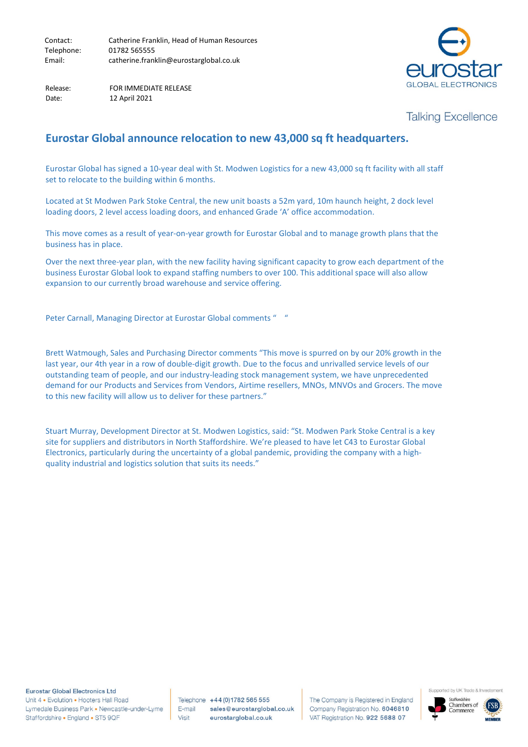Release: FOR IMMEDIATE RELEASE Date: 12 April 2021

## **Talking Excellence**

## **Eurostar Global announce relocation to new 43,000 sq ft headquarters.**

Eurostar Global has signed a 10-year deal with St. Modwen Logistics for a new 43,000 sq ft facility with all staff set to relocate to the building within 6 months.

Located at St Modwen Park Stoke Central, the new unit boasts a 52m yard, 10m haunch height, 2 dock level loading doors, 2 level access loading doors, and enhanced Grade 'A' office accommodation.

This move comes as a result of year-on-year growth for Eurostar Global and to manage growth plans that the business has in place.

Over the next three-year plan, with the new facility having significant capacity to grow each department of the business Eurostar Global look to expand staffing numbers to over 100. This additional space will also allow expansion to our currently broad warehouse and service offering.

Peter Carnall, Managing Director at Eurostar Global comments "

Brett Watmough, Sales and Purchasing Director comments "This move is spurred on by our 20% growth in the last year, our 4th year in a row of double-digit growth. Due to the focus and unrivalled service levels of our outstanding team of people, and our industry-leading stock management system, we have unprecedented demand for our Products and Services from Vendors, Airtime resellers, MNOs, MNVOs and Grocers. The move to this new facility will allow us to deliver for these partners."

Stuart Murray, Development Director at St. Modwen Logistics, said: "St. Modwen Park Stoke Central is a key site for suppliers and distributors in North Staffordshire. We're pleased to have let C43 to Eurostar Global Electronics, particularly during the uncertainty of a global pandemic, providing the company with a highquality industrial and logistics solution that suits its needs."

**Eurostar Global Electronics Ltd** 

Unit 4 . Evolution . Hooters Hall Road Lymedale Business Park · Newcastle-under-Lyme Staffordshire • England • ST5 9QF

Telephone +44 (0) 1782 565 555 E-mail sales@eurostarglobal.co.uk Visit eurostarglobal.co.uk

The Company is Registered in England Company Registration No. 6046810 VAT Registration No. 922 5688 07